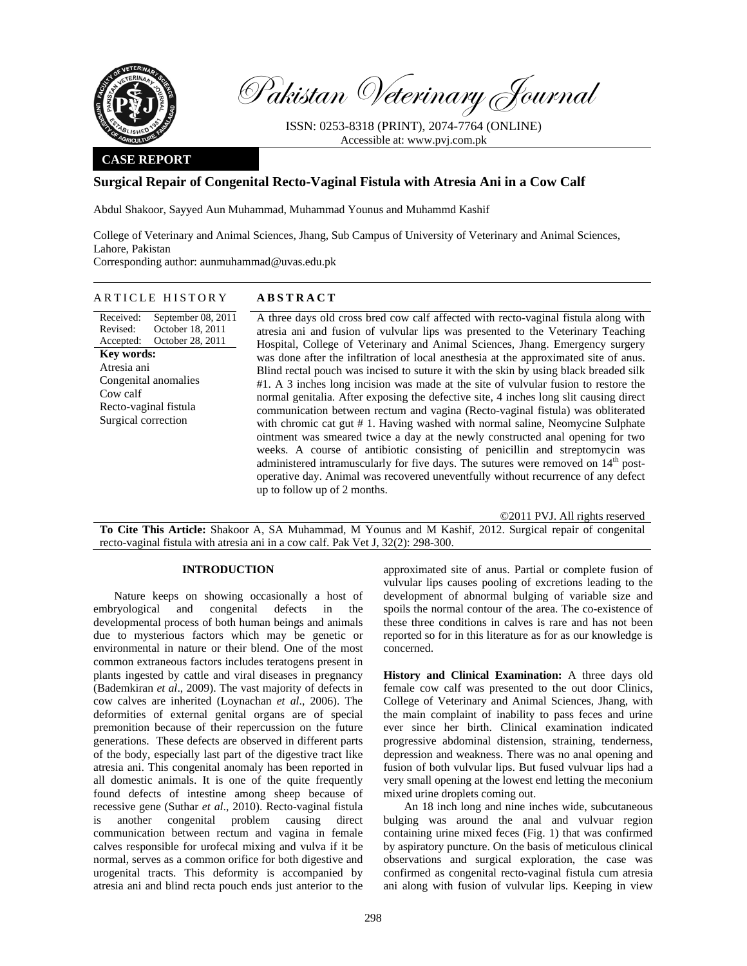

Pakistan Veterinary Journal

ISSN: 0253-8318 (PRINT), 2074-7764 (ONLINE) Accessible at: www.pvj.com.pk

## **CASE REPORT**

# **Surgical Repair of Congenital Recto-Vaginal Fistula with Atresia Ani in a Cow Calf**

Abdul Shakoor, Sayyed Aun Muhammad, Muhammad Younus and Muhammd Kashif

College of Veterinary and Animal Sciences, Jhang, Sub Campus of University of Veterinary and Animal Sciences, Lahore, Pakistan Corresponding author: aunmuhammad@uvas.edu.pk

# ARTICLE HISTORY **ABSTRACT**

Received: Revised: Accepted: September 08, 2011 October 18, 2011 October 28, 2011 **Key words:**  Atresia ani Congenital anomalies Cow calf Recto-vaginal fistula Surgical correction

A three days old cross bred cow calf affected with recto-vaginal fistula along with atresia ani and fusion of vulvular lips was presented to the Veterinary Teaching Hospital, College of Veterinary and Animal Sciences, Jhang. Emergency surgery was done after the infiltration of local anesthesia at the approximated site of anus. Blind rectal pouch was incised to suture it with the skin by using black breaded silk #1. A 3 inches long incision was made at the site of vulvular fusion to restore the normal genitalia. After exposing the defective site, 4 inches long slit causing direct communication between rectum and vagina (Recto-vaginal fistula) was obliterated with chromic cat gut # 1. Having washed with normal saline, Neomycine Sulphate ointment was smeared twice a day at the newly constructed anal opening for two weeks. A course of antibiotic consisting of penicillin and streptomycin was administered intramuscularly for five days. The sutures were removed on 14<sup>th</sup> postoperative day. Animal was recovered uneventfully without recurrence of any defect up to follow up of 2 months.

©2011 PVJ. All rights reserved **To Cite This Article:** Shakoor A, SA Muhammad, M Younus and M Kashif, 2012. Surgical repair of congenital recto-vaginal fistula with atresia ani in a cow calf. Pak Vet J, 32(2): 298-300.

#### **INTRODUCTION**

Nature keeps on showing occasionally a host of embryological and congenital defects in the developmental process of both human beings and animals due to mysterious factors which may be genetic or environmental in nature or their blend. One of the most common extraneous factors includes teratogens present in plants ingested by cattle and viral diseases in pregnancy (Bademkiran *et al*., 2009). The vast majority of defects in cow calves are inherited (Loynachan *et al*., 2006). The deformities of external genital organs are of special premonition because of their repercussion on the future generations. These defects are observed in different parts of the body, especially last part of the digestive tract like atresia ani. This congenital anomaly has been reported in all domestic animals. It is one of the quite frequently found defects of intestine among sheep because of recessive gene (Suthar *et al*., 2010). Recto-vaginal fistula is another congenital problem causing direct communication between rectum and vagina in female calves responsible for urofecal mixing and vulva if it be normal, serves as a common orifice for both digestive and urogenital tracts. This deformity is accompanied by atresia ani and blind recta pouch ends just anterior to the

approximated site of anus. Partial or complete fusion of vulvular lips causes pooling of excretions leading to the development of abnormal bulging of variable size and spoils the normal contour of the area. The co-existence of these three conditions in calves is rare and has not been reported so for in this literature as for as our knowledge is concerned.

**History and Clinical Examination:** A three days old female cow calf was presented to the out door Clinics, College of Veterinary and Animal Sciences, Jhang, with the main complaint of inability to pass feces and urine ever since her birth. Clinical examination indicated progressive abdominal distension, straining, tenderness, depression and weakness. There was no anal opening and fusion of both vulvular lips. But fused vulvuar lips had a very small opening at the lowest end letting the meconium mixed urine droplets coming out.

An 18 inch long and nine inches wide, subcutaneous bulging was around the anal and vulvuar region containing urine mixed feces (Fig. 1) that was confirmed by aspiratory puncture. On the basis of meticulous clinical observations and surgical exploration, the case was confirmed as congenital recto-vaginal fistula cum atresia ani along with fusion of vulvular lips. Keeping in view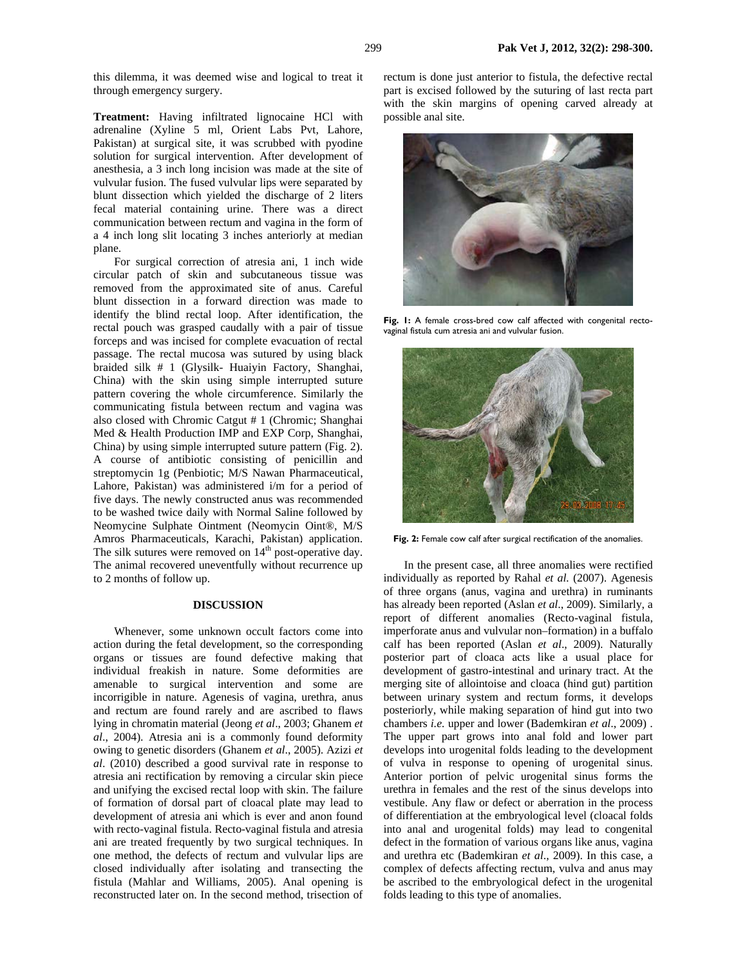this dilemma, it was deemed wise and logical to treat it through emergency surgery.

**Treatment:** Having infiltrated lignocaine HCl with adrenaline (Xyline 5 ml, Orient Labs Pvt, Lahore, Pakistan) at surgical site, it was scrubbed with pyodine solution for surgical intervention. After development of anesthesia, a 3 inch long incision was made at the site of vulvular fusion. The fused vulvular lips were separated by blunt dissection which yielded the discharge of 2 liters fecal material containing urine. There was a direct communication between rectum and vagina in the form of a 4 inch long slit locating 3 inches anteriorly at median plane.

For surgical correction of atresia ani, 1 inch wide circular patch of skin and subcutaneous tissue was removed from the approximated site of anus. Careful blunt dissection in a forward direction was made to identify the blind rectal loop. After identification, the rectal pouch was grasped caudally with a pair of tissue forceps and was incised for complete evacuation of rectal passage. The rectal mucosa was sutured by using black braided silk # 1 (Glysilk- Huaiyin Factory, Shanghai, China) with the skin using simple interrupted suture pattern covering the whole circumference. Similarly the communicating fistula between rectum and vagina was also closed with Chromic Catgut # 1 (Chromic; Shanghai Med & Health Production IMP and EXP Corp, Shanghai, China) by using simple interrupted suture pattern (Fig. 2). A course of antibiotic consisting of penicillin and streptomycin 1g (Penbiotic; M/S Nawan Pharmaceutical, Lahore, Pakistan) was administered i/m for a period of five days. The newly constructed anus was recommended to be washed twice daily with Normal Saline followed by Neomycine Sulphate Ointment (Neomycin Oint®, M/S Amros Pharmaceuticals, Karachi, Pakistan) application. The silk sutures were removed on  $14<sup>th</sup>$  post-operative day. The animal recovered uneventfully without recurrence up to 2 months of follow up.

## **DISCUSSION**

Whenever, some unknown occult factors come into action during the fetal development, so the corresponding organs or tissues are found defective making that individual freakish in nature. Some deformities are amenable to surgical intervention and some are incorrigible in nature. Agenesis of vagina, urethra, anus and rectum are found rarely and are ascribed to flaws lying in chromatin material (Jeong *et al*., 2003; Ghanem *et al*., 2004). Atresia ani is a commonly found deformity owing to genetic disorders (Ghanem *et al*., 2005). Azizi *et al*. (2010) described a good survival rate in response to atresia ani rectification by removing a circular skin piece and unifying the excised rectal loop with skin. The failure of formation of dorsal part of cloacal plate may lead to development of atresia ani which is ever and anon found with recto-vaginal fistula. Recto-vaginal fistula and atresia ani are treated frequently by two surgical techniques. In one method, the defects of rectum and vulvular lips are closed individually after isolating and transecting the fistula (Mahlar and Williams, 2005). Anal opening is reconstructed later on. In the second method, trisection of

rectum is done just anterior to fistula, the defective rectal part is excised followed by the suturing of last recta part with the skin margins of opening carved already at possible anal site.



Fig. 1: A female cross-bred cow calf affected with congenital rectovaginal fistula cum atresia ani and vulvular fusion.



Fig. 2: Female cow calf after surgical rectification of the anomalies.

In the present case, all three anomalies were rectified individually as reported by Rahal *et al.* (2007). Agenesis of three organs (anus, vagina and urethra) in ruminants has already been reported (Aslan *et al*., 2009). Similarly, a report of different anomalies (Recto-vaginal fistula, imperforate anus and vulvular non–formation) in a buffalo calf has been reported (Aslan *et al*., 2009). Naturally posterior part of cloaca acts like a usual place for development of gastro-intestinal and urinary tract. At the merging site of allointoise and cloaca (hind gut) partition between urinary system and rectum forms, it develops posteriorly, while making separation of hind gut into two chambers *i.e.* upper and lower (Bademkiran *et al*., 2009) . The upper part grows into anal fold and lower part develops into urogenital folds leading to the development of vulva in response to opening of urogenital sinus. Anterior portion of pelvic urogenital sinus forms the urethra in females and the rest of the sinus develops into vestibule. Any flaw or defect or aberration in the process of differentiation at the embryological level (cloacal folds into anal and urogenital folds) may lead to congenital defect in the formation of various organs like anus, vagina and urethra etc (Bademkiran et al., 2009). In this case, a complex of defects affecting rectum, vulva and anus may be ascribed to the embryological defect in the urogenital folds leading to this type of anomalies.